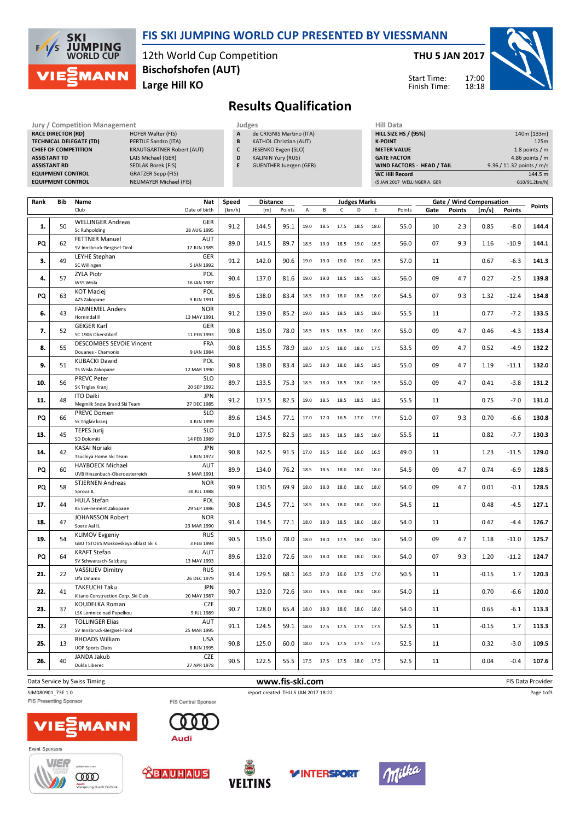

#### FIS SKI JUMPING WORLD CUP PRESENTED BY VIESSMANN

12th World Cup Competition Large Hill KO Bischofshofen (AUT)

THU 5 JAN 2017

Start Time: Finish Time:



## Results Qualification

Jury / Competition Management<br> **RACE DIRECTOR (RD)** HOFER Walter (FIS) **A** de CRIGNIS Martino (ITA) **HILL SIZE HILL SIZE HILL SIZE HILL SIZE** RACE DIRECTOR (RD) TECHNICAL DELEGATE (TD) CHIEF OF COMPETITION **ASSISTANT TD ASSISTANT RD EQUIPMENT CONTROL** EQUIPMENT CONTROL

| <b>HOFER Walter (FIS)</b>        |
|----------------------------------|
| PERTILE Sandro (ITA)             |
| <b>KRAUTGARTNER Robert (AUT)</b> |
| LAIS Michael (GER)               |
| <b>SEDLAK Borek (FIS)</b>        |
| <b>GRATZER Sepp (FIS)</b>        |
| <b>NEUMAYER Michael (FIS)</b>    |
|                                  |

- de CRIGNIS Martino (ITA) **B** KATHOL Christian (AUT)
- C JESENKO Evgen (SLO)
- D KALININ Yury (RUS)
- E GUENTHER Juergen (GER)

| (5 JAN 2017 WELLINGER A. GER | G10/91.2km/h)             |
|------------------------------|---------------------------|
| <b>WC Hill Record</b>        | 144.5 m                   |
| WIND FACTORS - HEAD / TAIL   | 9.36 / 11.32 points / m/s |
| <b>GATE FACTOR</b>           | 4.86 points $/m$          |
| <b>METER VALUE</b>           | 1.8 points $/m$           |
| <b>K-POINT</b>               | 125m                      |
| <b>HILL SIZE HS / (95%)</b>  | 140m (133m)               |
| niil Vald                    |                           |

| Rank | Bib | Name                                                         | Nat                       | Speed  | <b>Distance</b> |                 |      |      |              | <b>Judges Marks</b> |      |        |      | Gate / Wind Compensation |         |               |                   |
|------|-----|--------------------------------------------------------------|---------------------------|--------|-----------------|-----------------|------|------|--------------|---------------------|------|--------|------|--------------------------|---------|---------------|-------------------|
|      |     | Club                                                         | Date of birth             | [km/h] | [m]             | Points          | A    | B    | $\mathsf{C}$ | D                   | E    | Points | Gate | <b>Points</b>            | [m/s]   | <b>Points</b> | Points            |
| 1.   | 50  | <b>WELLINGER Andreas</b><br>Sc Ruhpolding                    | <b>GER</b><br>28 AUG 1995 | 91.2   | 144.5           | 95.1            | 19.0 | 18.5 | 17.5         | 18.5                | 18.0 | 55.0   | 10   | 2.3                      | 0.85    | $-8.0$        | 144.4             |
| PQ   | 62  | <b>FETTNER Manuel</b><br>SV Innsbruck-Bergisel-Tirol         | <b>AUT</b><br>17 JUN 1985 | 89.0   | 141.5           | 89.7            | 18.5 | 19.0 | 18.5         | 19.0                | 18.5 | 56.0   | 07   | 9.3                      | 1.16    | $-10.9$       | 144.1             |
| 3.   | 49  | <b>LEYHE Stephan</b><br>SC Willingen                         | GER<br>5 JAN 1992         | 91.2   | 142.0           | 90.6            | 19.0 | 19.0 | 19.0         | 19.0                | 18.5 | 57.0   | 11   |                          | 0.67    | $-6.3$        | 141.3             |
| 4.   | 57  | <b>ZYLA Piotr</b><br>WSS Wisla                               | POL<br>16 JAN 1987        | 90.4   | 137.0           | 81.6            | 19.0 | 19.0 | 18.5         | 18.5                | 18.5 | 56.0   | 09   | 4.7                      | 0.27    | $-2.5$        | 139.8             |
| PQ   | 63  | <b>KOT Maciej</b><br>AZS Zakopane                            | POL<br>9 JUN 1991         | 89.6   | 138.0           | 83.4            | 18.5 | 18.0 | 18.0         | 18.5                | 18.0 | 54.5   | 07   | 9.3                      | 1.32    | $-12.4$       | 134.8             |
| 6.   | 43  | <b>FANNEMEL Anders</b><br>Hornindal II                       | <b>NOR</b><br>13 MAY 1991 | 91.2   | 139.0           | 85.2            | 19.0 | 18.5 | 18.5         | 18.5                | 18.0 | 55.5   | 11   |                          | 0.77    | $-7.2$        | 133.5             |
| 7.   | 52  | <b>GEIGER Karl</b><br>SC 1906 Oberstdorf                     | GER<br>11 FEB 1993        | 90.8   | 135.0           | 78.0            | 18.5 | 18.5 | 18.5         | 18.0                | 18.0 | 55.0   | 09   | 4.7                      | 0.46    | $-4.3$        | 133.4             |
| 8.   | 55  | <b>DESCOMBES SEVOIE Vincent</b><br>Douanes - Chamonix        | <b>FRA</b><br>9 JAN 1984  | 90.8   | 135.5           | 78.9            | 18.0 | 17.5 | 18.0         | 18.0                | 17.5 | 53.5   | 09   | 4.7                      | 0.52    | $-4.9$        | 132.2             |
| 9.   | 51  | <b>KUBACKI Dawid</b><br>TS Wisla Zakopane                    | POL<br>12 MAR 1990        | 90.8   | 138.0           | 83.4            | 18.5 | 18.0 | 18.0         | 18.5                | 18.5 | 55.0   | 09   | 4.7                      | 1.19    | $-11.1$       | 132.0             |
| 10.  | 56  | <b>PREVC Peter</b><br>SK Triglav Kranj                       | <b>SLO</b><br>20 SEP 1992 | 89.7   | 133.5           | 75.3            | 18.5 | 18.0 | 18.5         | 18.0                | 18.5 | 55.0   | 09   | 4.7                      | 0.41    | $-3.8$        | 131.2             |
| 11.  | 48  | <b>ITO Daiki</b><br>Megmilk Snow Brand Ski Team              | <b>JPN</b><br>27 DEC 1985 | 91.2   | 137.5           | 82.5            | 19.0 | 18.5 | 18.5 18.5    |                     | 18.5 | 55.5   | 11   |                          | 0.75    | $-7.0$        | 131.0             |
| PQ   | 66  | PREVC Domen<br>Sk Triglav kranj                              | <b>SLO</b><br>4 JUN 1999  | 89.6   | 134.5           | 77.1            | 17.0 | 17.0 | 16.5         | 17.0                | 17.0 | 51.0   | 07   | 9.3                      | 0.70    | $-6.6$        | 130.8             |
| 13.  | 45  | <b>TEPES Jurij</b><br>SD Dolomiti                            | <b>SLO</b><br>14 FEB 1989 | 91.0   | 137.5           | 82.5            | 18.5 | 18.5 | 18.5         | 18.5                | 18.0 | 55.5   | 11   |                          | 0.82    | $-7.7$        | 130.3             |
| 14.  | 42  | <b>KASAI Noriaki</b><br>Tsuchiya Home Ski Team               | <b>JPN</b><br>6 JUN 1972  | 90.8   | 142.5           | 91.5            | 17.0 | 16.5 | 16.0         | 16.0                | 16.5 | 49.0   | 11   |                          | 1.23    | $-11.5$       | 129.0             |
| PQ   | 60  | <b>HAYBOECK Michael</b><br>UVB Hinzenbach-Oberoesterreich    | <b>AUT</b><br>5 MAR 1991  | 89.9   | 134.0           | 76.2            | 18.5 | 18.5 | 18.0         | 18.0                | 18.0 | 54.5   | 09   | 4.7                      | 0.74    | $-6.9$        | 128.5             |
| PQ   | 58  | <b>STJERNEN Andreas</b><br>Sprova IL                         | <b>NOR</b><br>30 JUL 1988 | 90.9   | 130.5           | 69.9            | 18.0 | 18.0 | 18.0         | 18.0                | 18.0 | 54.0   | 09   | 4.7                      | 0.01    | $-0.1$        | 128.5             |
| 17.  | 44  | <b>HULA Stefan</b><br>KS Eve-nement Zakopane                 | POL<br>29 SEP 1986        | 90.8   | 134.5           | 77.1            | 18.5 | 18.5 | 18.0         | 18.0                | 18.0 | 54.5   | 11   |                          | 0.48    | $-4.5$        | 127.1             |
| 18.  | 47  | JOHANSSON Robert<br>Soere Aal IL                             | <b>NOR</b><br>23 MAR 1990 | 91.4   | 134.5           | 77.1            | 18.0 | 18.0 | 18.5         | 18.0                | 18.0 | 54.0   | 11   |                          | 0.47    | $-4.4$        | 126.7             |
| 19.  | 54  | <b>KLIMOV Evgeniy</b><br>GBU TSTOVS Moskovskaya oblast Ski s | <b>RUS</b><br>3 FEB 1994  | 90.5   | 135.0           | 78.0            | 18.0 | 18.0 | 17.5         | 18.0                | 18.0 | 54.0   | 09   | 4.7                      | 1.18    | $-11.0$       | 125.7             |
| PQ   | 64  | <b>KRAFT Stefan</b><br>SV Schwarzach-Salzburg                | AUT<br>13 MAY 1993        | 89.6   | 132.0           | 72.6            | 18.0 | 18.0 | 18.0         | 18.0                | 18.0 | 54.0   | 07   | 9.3                      | 1.20    | $-11.2$       | 124.7             |
| 21.  | 22  | <b>VASSILIEV Dimitry</b><br>Ufa Dinamo                       | <b>RUS</b><br>26 DEC 1979 | 91.4   | 129.5           | 68.1            | 16.5 | 17.0 | 16.0         | 17.5                | 17.0 | 50.5   | 11   |                          | $-0.15$ | 1.7           | 120.3             |
| 22.  | 41  | TAKEUCHI Taku<br>Kitano Construction Corp. Ski Club          | <b>JPN</b><br>20 MAY 1987 | 90.7   | 132.0           | 72.6            | 18.0 | 18.5 | 18.0         | 18.0                | 18.0 | 54.0   | 11   |                          | 0.70    | $-6.6$        | 120.0             |
| 23.  | 37  | KOUDELKA Roman<br><b>LSK Lomnice nad Popelkou</b>            | <b>CZE</b><br>9 JUL 1989  | 90.7   | 128.0           | 65.4            | 18.0 | 18.0 | 18.0         | 18.0                | 18.0 | 54.0   | 11   |                          | 0.65    | $-6.1$        | 113.3             |
| 23.  | 23  | <b>TOLLINGER Elias</b><br>SV Innsbruck-Bergisel-Tirol        | AUT<br>25 MAR 1995        | 91.1   | 124.5           | 59.1            | 18.0 | 17.5 | 17.5         | 17.5                | 17.5 | 52.5   | 11   |                          | $-0.15$ | 1.7           | 113.3             |
| 25.  | 13  | <b>RHOADS William</b><br><b>UOP Sports Clubs</b>             | <b>USA</b><br>8 JUN 1995  | 90.8   | 125.0           | 60.0            | 18.0 | 17.5 | 17.5         | 17.5                | 17.5 | 52.5   | 11   |                          | 0.32    | $-3.0$        | 109.5             |
| 26.  | 40  | JANDA Jakub<br>Dukla Liberec                                 | <b>CZE</b><br>27 APR 1978 | 90.5   | 122.5           | 55.5            | 17.5 | 17.5 | 17.5         | 18.0                | 17.5 | 52.5   | 11   |                          | 0.04    | $-0.4$        | 107.6             |
|      |     | Data Service by Swiss Timing                                 |                           |        |                 | www.fis-ski.com |      |      |              |                     |      |        |      |                          |         |               | FIS Data Provider |

# FIS Presenting Sponsor

FIS Central Sponsor



Page 1of3

















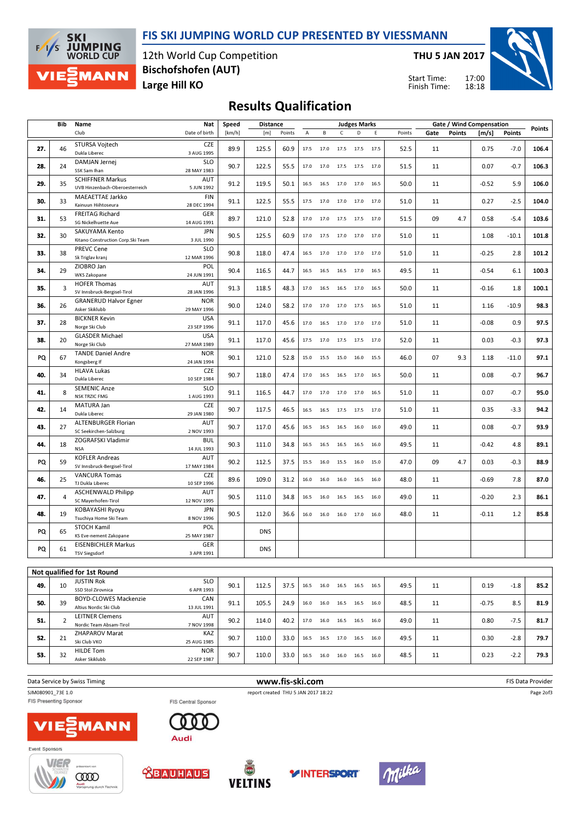#### FIS SKI JUMPING WORLD CUP PRESENTED BY VIESSMANN



12th World Cup Competition Large Hill KO Bischofshofen (AUT)

THU 5 JAN 2017

Start Time: Finish Time: 17:00 18:18



## Results Qualification

|     | Bib            | Name                                                      | Nat                       | Speed  | <b>Distance</b> |        |      |                          |                | <b>Judges Marks</b> |      |        |      |               | Gate / Wind Compensation |         |        |
|-----|----------------|-----------------------------------------------------------|---------------------------|--------|-----------------|--------|------|--------------------------|----------------|---------------------|------|--------|------|---------------|--------------------------|---------|--------|
|     |                | Club                                                      | Date of birth             | [km/h] | [m]             | Points | Α    | В                        | $\mathsf{C}$   | D                   | Ε    | Points | Gate | <b>Points</b> | [m/s]                    | Points  | Points |
| 27. | 46             | STURSA Vojtech<br>Dukla Liberec                           | <b>CZE</b><br>3 AUG 1995  | 89.9   | 125.5           | 60.9   |      | 17.5 17.0 17.5 17.5 17.5 |                |                     |      | 52.5   | 11   |               | 0.75                     | $-7.0$  | 106.4  |
| 28. | 24             | DAMJAN Jernej<br>SSK Sam Ihan                             | <b>SLO</b><br>28 MAY 1983 | 90.7   | 122.5           | 55.5   |      | 17.0 17.0 17.5 17.5 17.0 |                |                     |      | 51.5   | 11   |               | 0.07                     | $-0.7$  | 106.3  |
| 29. | 35             | <b>SCHIFFNER Markus</b><br>UVB Hinzenbach-Oberoesterreich | AUT<br>5 JUN 1992         | 91.2   | 119.5           | 50.1   |      | 16.5 16.5 17.0 17.0 16.5 |                |                     |      | 50.0   | 11   |               | $-0.52$                  | 5.9     | 106.0  |
| 30. | 33             | MAEAETTAE Jarkko<br>Kainuun Hiihtoseura                   | <b>FIN</b><br>28 DEC 1994 | 91.1   | 122.5           | 55.5   |      | 17.5 17.0 17.0 17.0 17.0 |                |                     |      | 51.0   | 11   |               | 0.27                     | $-2.5$  | 104.0  |
| 31. | 53             | FREITAG Richard<br>SG Nickelhuette Aue                    | GER<br>14 AUG 1991        | 89.7   | 121.0           | 52.8   |      | 17.0 17.0 17.5 17.5 17.0 |                |                     |      | 51.5   | 09   | 4.7           | 0.58                     | $-5.4$  | 103.6  |
| 32. | 30             | SAKUYAMA Kento<br>Kitano Construction Corp.Ski Team       | JPN<br>3 JUL 1990         | 90.5   | 125.5           | 60.9   | 17.0 |                          | 17.5 17.0 17.0 |                     | 17.0 | 51.0   | 11   |               | 1.08                     | $-10.1$ | 101.8  |
| 33. | 38             | <b>PREVC Cene</b><br>Sk Triglav kranj                     | <b>SLO</b><br>12 MAR 1996 | 90.8   | 118.0           | 47.4   | 16.5 | 17.0 17.0 17.0 17.0      |                |                     |      | 51.0   | 11   |               | $-0.25$                  | 2.8     | 101.2  |
| 34. | 29             | ZIOBRO Jan<br>WKS Zakopane                                | POL<br>24 JUN 1991        | 90.4   | 116.5           | 44.7   | 16.5 | 16.5                     | 16.5           | 17.0                | 16.5 | 49.5   | 11   |               | $-0.54$                  | 6.1     | 100.3  |
| 35. | 3              | <b>HOFER Thomas</b><br>SV Innsbruck-Bergisel-Tirol        | AUT<br>28 JAN 1996        | 91.3   | 118.5           | 48.3   | 17.0 | 16.5                     | 16.5           | 17.0                | 16.5 | 50.0   | 11   |               | $-0.16$                  | 1.8     | 100.1  |
| 36. | 26             | <b>GRANERUD Halvor Egner</b><br>Asker Skiklubb            | <b>NOR</b><br>29 MAY 1996 | 90.0   | 124.0           | 58.2   | 17.0 | 17.0                     | 17.0           | 17.5                | 16.5 | 51.0   | 11   |               | 1.16                     | $-10.9$ | 98.3   |
| 37. | 28             | <b>BICKNER Kevin</b><br>Norge Ski Club                    | <b>USA</b><br>23 SEP 1996 | 91.1   | 117.0           | 45.6   | 17.0 | 16.5                     | 17.0           | 17.0 17.0           |      | 51.0   | 11   |               | $-0.08$                  | 0.9     | 97.5   |
| 38. | 20             | <b>GLASDER Michael</b><br>Norge Ski Club                  | <b>USA</b><br>27 MAR 1989 | 91.1   | 117.0           | 45.6   | 17.5 | 17.0                     | 17.5           | 17.5                | 17.0 | 52.0   | 11   |               | 0.03                     | $-0.3$  | 97.3   |
| PQ  | 67             | <b>TANDE Daniel Andre</b><br>Kongsberg If                 | <b>NOR</b><br>24 JAN 1994 | 90.1   | 121.0           | 52.8   | 15.0 | 15.5                     | 15.0           | 16.0 15.5           |      | 46.0   | 07   | 9.3           | 1.18                     | $-11.0$ | 97.1   |
| 40. | 34             | <b>HLAVA Lukas</b><br>Dukla Liberec                       | <b>CZE</b><br>10 SEP 1984 | 90.7   | 118.0           | 47.4   | 17.0 | 16.5                     | 16.5           | 17.0                | 16.5 | 50.0   | 11   |               | 0.08                     | $-0.7$  | 96.7   |
| 41. | 8              | <b>SEMENIC Anze</b><br><b>NSK TRZIC FMG</b>               | <b>SLO</b><br>1 AUG 1993  | 91.1   | 116.5           | 44.7   | 17.0 |                          |                | 17.0 17.0 17.0 16.5 |      | 51.0   | 11   |               | 0.07                     | $-0.7$  | 95.0   |
| 42. | 14             | MATURA Jan<br>Dukla Liberec                               | <b>CZE</b><br>29 JAN 1980 | 90.7   | 117.5           | 46.5   | 16.5 | 16.5                     | 17.5           | 17.5                | 17.0 | 51.0   | 11   |               | 0.35                     | $-3.3$  | 94.2   |
| 43. | 27             | <b>ALTENBURGER Florian</b><br>SC Seekirchen-Salzburg      | AUT<br>2 NOV 1993         | 90.7   | 117.0           | 45.6   | 16.5 | 16.5                     | 16.5           | 16.0                | 16.0 | 49.0   | 11   |               | 0.08                     | $-0.7$  | 93.9   |
| 44. | 18             | ZOGRAFSKI Vladimir<br><b>NSA</b>                          | BUL<br>14 JUL 1993        | 90.3   | 111.0           | 34.8   | 16.5 | 16.5                     | 16.5           | 16.5                | 16.0 | 49.5   | 11   |               | $-0.42$                  | 4.8     | 89.1   |
| PQ  | 59             | <b>KOFLER Andreas</b><br>SV Innsbruck-Bergisel-Tirol      | AUT<br>17 MAY 1984        | 90.2   | 112.5           | 37.5   | 15.5 | 16.0                     | 15.5           | 16.0                | 15.0 | 47.0   | 09   | 4.7           | 0.03                     | $-0.3$  | 88.9   |
| 46. | 25             | <b>VANCURA Tomas</b><br>TJ Dukla Liberec                  | <b>CZE</b><br>10 SEP 1996 | 89.6   | 109.0           | 31.2   | 16.0 | 16.0                     | 16.0           | 16.5                | 16.0 | 48.0   | 11   |               | $-0.69$                  | 7.8     | 87.0   |
| 47. | $\overline{4}$ | <b>ASCHENWALD Philipp</b><br>SC Mayerhofen-Tirol          | AUT<br>12 NOV 1995        | 90.5   | 111.0           | 34.8   | 16.5 | 16.0                     | 16.5           | 16.5                | 16.0 | 49.0   | 11   |               | $-0.20$                  | 2.3     | 86.1   |
| 48. | 19             | KOBAYASHI Ryoyu<br>Tsuchiya Home Ski Team                 | <b>JPN</b><br>8 NOV 1996  | 90.5   | 112.0           | 36.6   | 16.0 | 16.0                     | 16.0           | 17.0                | 16.0 | 48.0   | 11   |               | $-0.11$                  | 1.2     | 85.8   |
| PQ  | 65             | STOCH Kamil<br>KS Eve-nement Zakopane                     | POL<br>25 MAY 1987        |        | <b>DNS</b>      |        |      |                          |                |                     |      |        |      |               |                          |         |        |
| PQ  | 61             | <b>EISENBICHLER Markus</b><br>TSV Siegsdorf               | GER<br>3 APR 1991         |        | <b>DNS</b>      |        |      |                          |                |                     |      |        |      |               |                          |         |        |
|     |                | Not qualified for 1st Round                               |                           |        |                 |        |      |                          |                |                     |      |        |      |               |                          |         |        |
| 49. | 10             | <b>JUSTIN Rok</b><br>SSD Stol Zirovnica                   | <b>SLO</b><br>6 APR 1993  | 90.1   | 112.5           | 37.5   | 16.5 |                          |                | 16.0 16.5 16.5 16.5 |      | 49.5   | 11   |               | 0.19                     | $-1.8$  | 85.2   |
| 50. | 39             | BOYD-CLOWES Mackenzie<br>Altius Nordic Ski Club           | CAN<br>13 JUL 1991        | 91.1   | 105.5           | 24.9   | 16.0 |                          | 16.0 16.5 16.5 |                     | 16.0 | 48.5   | 11   |               | $-0.75$                  | 8.5     | 81.9   |
| 51. | 2              | <b>LEITNER Clemens</b><br>Nordic Team Absam-Tirol         | AUT<br>7 NOV 1998         | 90.2   | 114.0           | 40.2   | 17.0 |                          |                | 16.0 16.5 16.5 16.0 |      | 49.0   | 11   |               | 0.80                     | $-7.5$  | 81.7   |
| 52. | 21             | ZHAPAROV Marat<br>Ski Club VKO                            | KAZ<br>25 AUG 1985        | 90.7   | 110.0           | 33.0   | 16.5 | 16.5 17.0 16.5 16.0      |                |                     |      | 49.5   | 11   |               | 0.30                     | $-2.8$  | 79.7   |
| 53. | 32             | <b>HILDE Tom</b><br>Asker Skiklubb                        | <b>NOR</b><br>22 SEP 1987 | 90.7   | 110.0           | 33.0   |      | 16.5 16.0 16.0 16.5 16.0 |                |                     |      | 48.5   | 11   |               | 0.23                     | $-2.2$  | 79.3   |
|     |                |                                                           |                           |        |                 |        |      |                          |                |                     |      |        |      |               |                          |         |        |

Data Service by Swiss Timing **EXECUTE:** The Same of the W**WW.fis-ski.com** FIS Data Provider FIS Data Provider SJM080901\_73E 1.0 report created THU 5 JAN 2017 18:22<br>FIS Central Sponsor FIS Central Sponsor Page 2of3 FIS Central Sponsor  $0<sub>0</sub>$ C **1ANN** Audi Event Sponsors